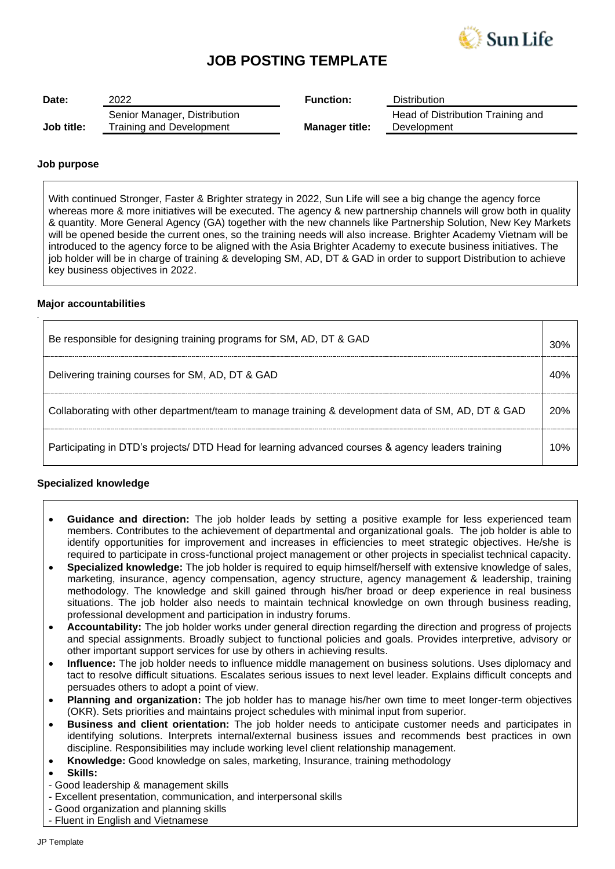

## **JOB POSTING TEMPLATE**

| Date:      | 2022                                                     | <b>Function:</b>      | <b>Distribution</b>                              |
|------------|----------------------------------------------------------|-----------------------|--------------------------------------------------|
| Job title: | Senior Manager, Distribution<br>Training and Development | <b>Manager title:</b> | Head of Distribution Training and<br>Development |

### **Job purpose**

With continued Stronger, Faster & Brighter strategy in 2022, Sun Life will see a big change the agency force whereas more & more initiatives will be executed. The agency & new partnership channels will grow both in quality & quantity. More General Agency (GA) together with the new channels like Partnership Solution, New Key Markets will be opened beside the current ones, so the training needs will also increase. Brighter Academy Vietnam will be introduced to the agency force to be aligned with the Asia Brighter Academy to execute business initiatives. The job holder will be in charge of training & developing SM, AD, DT & GAD in order to support Distribution to achieve key business objectives in 2022.

### **Major accountabilities**

*.*

| Be responsible for designing training programs for SM, AD, DT & GAD                                | 30% |
|----------------------------------------------------------------------------------------------------|-----|
| Delivering training courses for SM, AD, DT & GAD                                                   | 40% |
| Collaborating with other department/team to manage training & development data of SM, AD, DT & GAD | 20% |
| Participating in DTD's projects/DTD Head for learning advanced courses & agency leaders training   | 1በ% |

### **Specialized knowledge**

- **Guidance and direction:** The job holder leads by setting a positive example for less experienced team members. Contributes to the achievement of departmental and organizational goals. The job holder is able to identify opportunities for improvement and increases in efficiencies to meet strategic objectives. He/she is required to participate in cross-functional project management or other projects in specialist technical capacity.
- **Specialized knowledge:** The job holder is required to equip himself/herself with extensive knowledge of sales, marketing, insurance, agency compensation, agency structure, agency management & leadership, training methodology. The knowledge and skill gained through his/her broad or deep experience in real business situations. The job holder also needs to maintain technical knowledge on own through business reading, professional development and participation in industry forums.
- **Accountability:** The job holder works under general direction regarding the direction and progress of projects and special assignments. Broadly subject to functional policies and goals. Provides interpretive, advisory or other important support services for use by others in achieving results.
- **Influence:** The job holder needs to influence middle management on business solutions. Uses diplomacy and tact to resolve difficult situations. Escalates serious issues to next level leader. Explains difficult concepts and persuades others to adopt a point of view.
- **Planning and organization:** The job holder has to manage his/her own time to meet longer-term objectives (OKR). Sets priorities and maintains project schedules with minimal input from superior.
- **Business and client orientation:** The job holder needs to anticipate customer needs and participates in identifying solutions. Interprets internal/external business issues and recommends best practices in own discipline. Responsibilities may include working level client relationship management.
- **Knowledge:** Good knowledge on sales, marketing, Insurance, training methodology
- **Skills:**
- Good leadership & management skills
- Excellent presentation, communication, and interpersonal skills
- Good organization and planning skills
- Fluent in English and Vietnamese